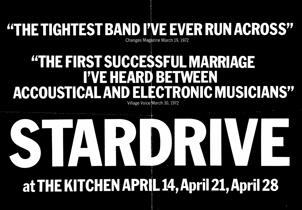### "THE TIGHTEST BAND <sup>I</sup>'vE EVER RUN ACROSS" Changes Magazine March 19, 1972

## "THE FIRST SUCCESSFUL MARRIAGE <sup>I</sup>'VE HEARd BETWEEN ACCOUSTICAL AND ELECTRONIC MUSICIANS"

Village Voice March 30, 1972

l



# at THE KITCHEN APRIL 14, April 21, April 28

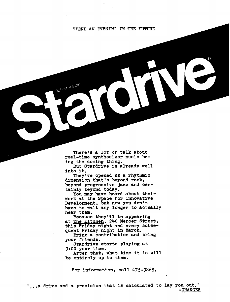#### SPEND AN EVENING IN THE FUTURE

There's a lot of talk about real-time synthesizer music being the coming thing.

Robert Mason

But Stardrive is already well into it.

They've opened up a rhythmic dimension that's beyond rock, beyond progressive jazz and cer tainly beyond today.

You may have heard about their work at the Space for Innovative Development, but now you don't have to wait any longer to actually hear them.

Because they'll be appearing at The Kitchen, 240 Mercer Street, this Friday night and every subse quent Friday night in March.

Bring a contribution and bring your friends .

Stardrive starts playing at 9 :00 your time .

After that, what time it is will be entirely up to them.

For information, call  $475-9865$ .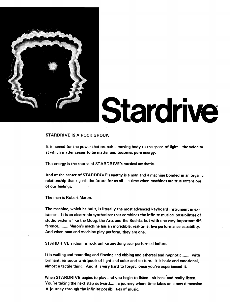

# Stardrive

#### STARDRIVE IS A ROCK GROUP.

It is named for the power that propels a moving body to the speed of light -- the velocity at which matter ceases to be matter and becomes pure energy.

This energy is the source of STARDRIVE's musical aesthetic.

And at the center of STARDRIVE's energy is <sup>a</sup> man and <sup>a</sup> machine bonded in an organic relationship that signals the future for us all -- a time when machines are true extensions of our feelings.

The man is Robert Mason.

The machine, which he built, is literally the most advanced keyboard instrument in existence. It is an electronic synthesizer that combines the infinite musical possibilities of studio systems like the Moog, the Arp, and the Buchla, but with one very important difference..........Mason's machine has an incredible, real-time, live performance capability. And when man and machine play perform, they are one.

STARDRIVE's idiom is rock unlike anything ever performed before .

It is wailing and pounding and flowing and ebbing and ethereal and hypnotic........ with brilliant, sensuous whirlpools of light and color and texture. It is basic and emotional, almost a tactile thing. And it is very hard to forget, once you've experienced it .

When STARDRIVE begins to play and you begin to listen---sit back and really listen. You're taking the next step outward...... a journey where time takes on a new dimension. A journey through the infinite possibilities of music.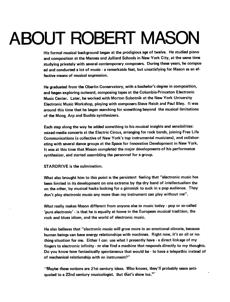## ABOUT ROBERT MASON

His formal musical background began at the prodigious age of twelve. He studied piano and composition at the Mannes and Julliard Schools in New York City, at the same time studying privately with several contemporary composers. During these years, he composed and conducted a lot of music - <sup>a</sup> remarkable feat, but unsatisfying for Mason as an effective means of musical expression.

He graduated from the Oberlin Conservatory, with <sup>a</sup> bachelor's degree in composition, and began exploring outward, composing tapes at the Columbia-Princeton Electronic Music Center. Later, he worked with Morton Subotnik at the New York University Electronic Music Workshop, playing with composers Steve Reich and Paul Bley. It was around this time that he began searching for something beyond the musical limitations of the Moog, Arp and Buchla synthesizers .

Each step along the way he added something to his musical insights and sensibilities : mixed-media concerts at the Electric Circus, arranging for rock bands, joining Free Life Communications (a collective of New York's top instrumental musicians), and collaborating with several dance groups at the Space for Innovative Development in New York. It was at this time that Mason completed the major developments of his performance synthesizer, and started assembling the personnel for a group.

#### STARDRIVE is the culmination.

What also brought him to this point is the persistent feeling that "electronic music has been limited in its development on one extreme by the dry hand of intellectualism the on the other, by musical hacks looking for a gimmick to suck in a pop audience. They don't play electronic music any more than my instrument can play without me".

What really makes Mason different from anyone else in music today - pop or so-called 'pure electronic' - is that he is equally at home in the European musical tradition, the rock and blues idiom, and the world of electronic music.

He also believes that "electronic music will grow more in an emotional climate, because human beings can have energy relationships with machines. Right now, it's an all or nothing situation for me. Either <sup>I</sup> can use what <sup>I</sup> presently have - a direct linkage of my fingers to electronic infinity - or else find a machine that responds directly to my thoughts. Do you know how fantastically spontaneous that would be - to have a telepathic instead of of mechanical relationship with an instrument?"

"Maybe these notions are 21st century ideas. Who knows, they'll probably seem antiquated to a 22nd century musicologist. But that's show biz. $T$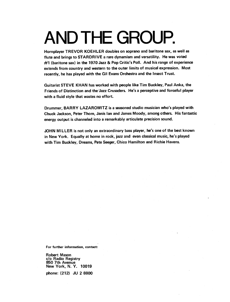## AND THE GROUP.

Hornplayer TREVOR KOEHLER doubles on soprano and baritone sax, as well as flute and brings to STARDRIVE a rare dynamism and versatility. He was voted #1 (baritone sax) in the 1970 Jazz & Pop Critic's Poll. And his range of experience extends from country and western to the outer limits of musical expression. Most recently, he has played with the Gil Evans Orchestra and the Insect Trust.

Guitarist STEVE KHAN has worked with people like Tim Buckley, Paul Anka, the Friends of Distinction and the Jazz Crusaders. He's a perceptive and forceful player with a fluid style that wastes no effort.

Drummer, BARRY LAZAROWITZ is <sup>a</sup> seasoned studio musician who's played with Chuck Jackson, Peter Thom, Janis Ian and James Moody, among others. His fantastic energy output is channeled into a remarkably articulate precision sound.

JOHN MILLER is not only an extraordinary bass player, he's one of the best known in New York. Equally at home in rock, jazz and even classical music, he's played with Tim Buckley, Dreams, Pete Seeger, Chico Hamilton and Richie Havens.

For further information, contact:

Robert Mason c/o Radio Registry 850 7th Avenue New York, N.Y. 10019

phone: (212) JU 2 8800